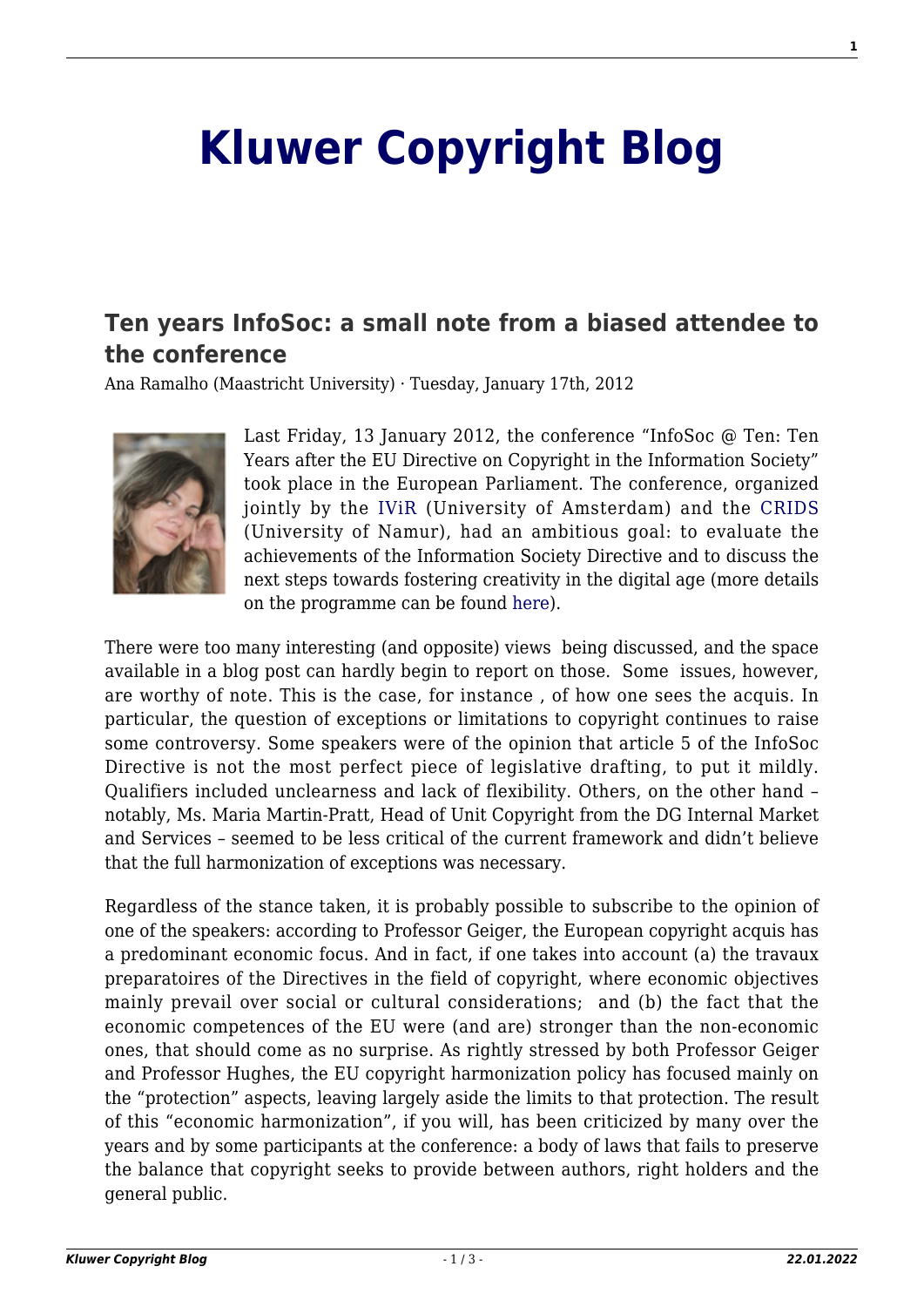## **[Kluwer Copyright Blog](http://copyrightblog.kluweriplaw.com/)**

## **[Ten years InfoSoc: a small note from a biased attendee to](http://copyrightblog.kluweriplaw.com/2012/01/17/ten-years-infosoc-a-small-note-from-a-biased-attendee-to-the-conference/) [the conference](http://copyrightblog.kluweriplaw.com/2012/01/17/ten-years-infosoc-a-small-note-from-a-biased-attendee-to-the-conference/)**

Ana Ramalho (Maastricht University) · Tuesday, January 17th, 2012



Last Friday, 13 January 2012, the conference "InfoSoc @ Ten: Ten Years after the EU Directive on Copyright in the Information Society" took place in the European Parliament. The conference, organized jointly by the [IViR](http://www.ivir.nl/index-english.html) (University of Amsterdam) and the [CRIDS](http://www.crids.eu/) (University of Namur), had an ambitious goal: to evaluate the achievements of the Information Society Directive and to discuss the next steps towards fostering creativity in the digital age (more details on the programme can be found [here](http://www.ivir.nl/nieuws/CRIDS-IViR%20conference%202012.html)).

There were too many interesting (and opposite) views being discussed, and the space available in a blog post can hardly begin to report on those. Some issues, however, are worthy of note. This is the case, for instance , of how one sees the acquis. In particular, the question of exceptions or limitations to copyright continues to raise some controversy. Some speakers were of the opinion that article 5 of the InfoSoc Directive is not the most perfect piece of legislative drafting, to put it mildly. Qualifiers included unclearness and lack of flexibility. Others, on the other hand – notably, Ms. Maria Martin-Pratt, Head of Unit Copyright from the DG Internal Market and Services – seemed to be less critical of the current framework and didn't believe that the full harmonization of exceptions was necessary.

Regardless of the stance taken, it is probably possible to subscribe to the opinion of one of the speakers: according to Professor Geiger, the European copyright acquis has a predominant economic focus. And in fact, if one takes into account (a) the travaux preparatoires of the Directives in the field of copyright, where economic objectives mainly prevail over social or cultural considerations; and (b) the fact that the economic competences of the EU were (and are) stronger than the non-economic ones, that should come as no surprise. As rightly stressed by both Professor Geiger and Professor Hughes, the EU copyright harmonization policy has focused mainly on the "protection" aspects, leaving largely aside the limits to that protection. The result of this "economic harmonization", if you will, has been criticized by many over the years and by some participants at the conference: a body of laws that fails to preserve the balance that copyright seeks to provide between authors, right holders and the general public.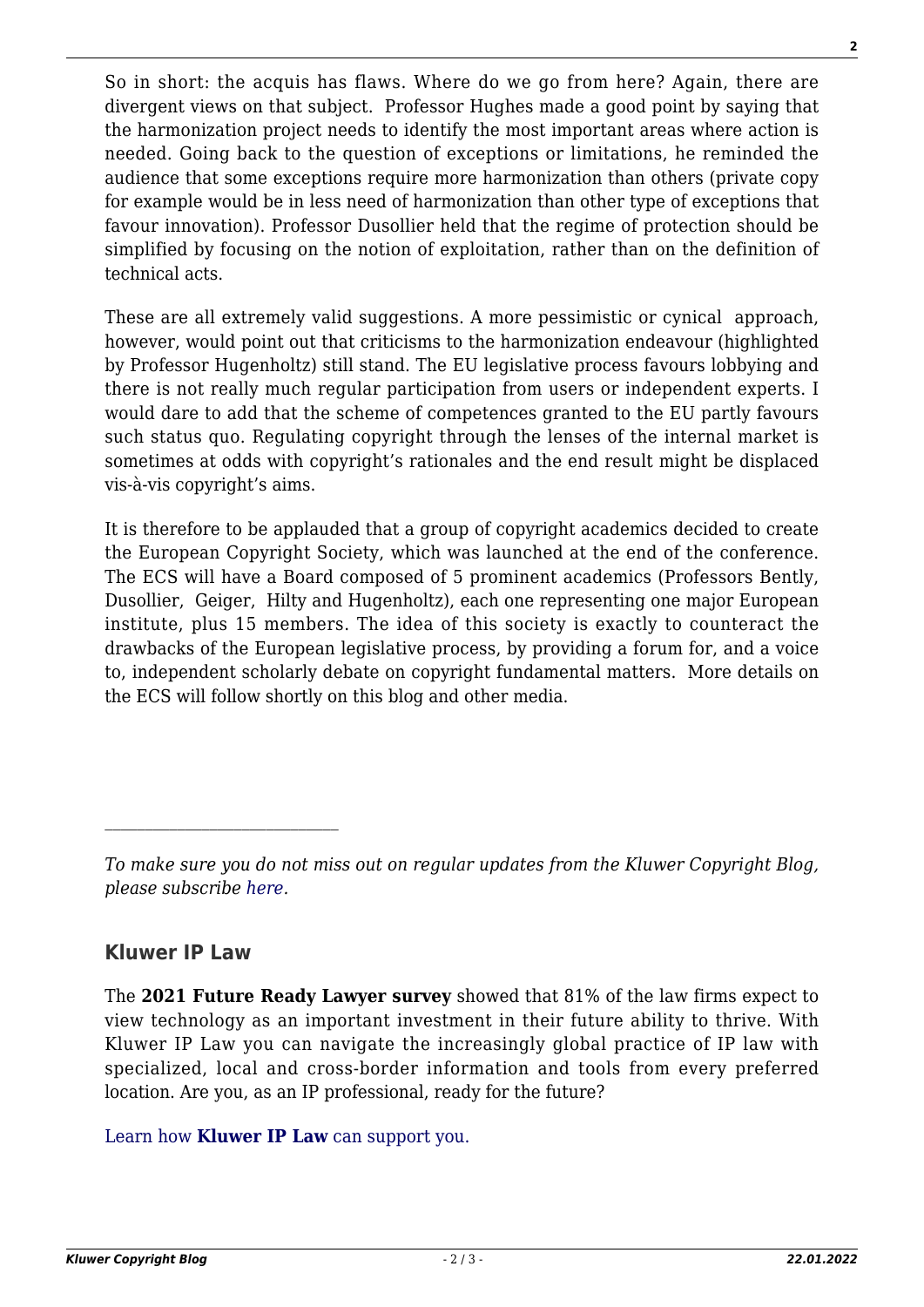So in short: the acquis has flaws. Where do we go from here? Again, there are divergent views on that subject. Professor Hughes made a good point by saying that the harmonization project needs to identify the most important areas where action is needed. Going back to the question of exceptions or limitations, he reminded the audience that some exceptions require more harmonization than others (private copy for example would be in less need of harmonization than other type of exceptions that favour innovation). Professor Dusollier held that the regime of protection should be simplified by focusing on the notion of exploitation, rather than on the definition of technical acts.

These are all extremely valid suggestions. A more pessimistic or cynical approach, however, would point out that criticisms to the harmonization endeavour (highlighted by Professor Hugenholtz) still stand. The EU legislative process favours lobbying and there is not really much regular participation from users or independent experts. I would dare to add that the scheme of competences granted to the EU partly favours such status quo. Regulating copyright through the lenses of the internal market is sometimes at odds with copyright's rationales and the end result might be displaced vis-à-vis copyright's aims.

It is therefore to be applauded that a group of copyright academics decided to create the European Copyright Society, which was launched at the end of the conference. The ECS will have a Board composed of 5 prominent academics (Professors Bently, Dusollier, Geiger, Hilty and Hugenholtz), each one representing one major European institute, plus 15 members. The idea of this society is exactly to counteract the drawbacks of the European legislative process, by providing a forum for, and a voice to, independent scholarly debate on copyright fundamental matters. More details on the ECS will follow shortly on this blog and other media.

## **Kluwer IP Law**

 $\mathcal{L}_\text{max}$ 

The **2021 Future Ready Lawyer survey** showed that 81% of the law firms expect to view technology as an important investment in their future ability to thrive. With Kluwer IP Law you can navigate the increasingly global practice of IP law with specialized, local and cross-border information and tools from every preferred location. Are you, as an IP professional, ready for the future?

## [Learn how](https://www.wolterskluwer.com/en/solutions/kluweriplaw?utm_source=copyrightnblog&utm_medium=articleCTA&utm_campaign=article-banner) **[Kluwer IP Law](https://www.wolterskluwer.com/en/solutions/kluweriplaw?utm_source=copyrightnblog&utm_medium=articleCTA&utm_campaign=article-banner)** [can support you.](https://www.wolterskluwer.com/en/solutions/kluweriplaw?utm_source=copyrightnblog&utm_medium=articleCTA&utm_campaign=article-banner)

*To make sure you do not miss out on regular updates from the Kluwer Copyright Blog, please subscribe [here.](http://copyrightblog.kluweriplaw.com/newsletter)*